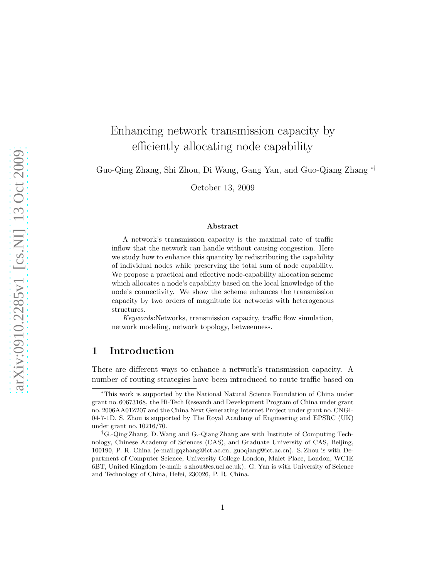# Enhancing network transmission capacity by efficiently allocating node capability

Guo-Qing Zhang, Shi Zhou, Di Wang, Gang Yan, and Guo-Qiang Zhang ∗†

October 13, 2009

#### Abstract

A network's transmission capacity is the maximal rate of traffic inflow that the network can handle without causing congestion. Here we study how to enhance this quantity by redistributing the capability of individual nodes while preserving the total sum of node capability. We propose a practical and effective node-capability allocation scheme which allocates a node's capability based on the local knowledge of the node's connectivity. We show the scheme enhances the transmission capacity by two orders of magnitude for networks with heterogenous structures.

Keywords:Networks, transmission capacity, traffic flow simulation, network modeling, network topology, betweenness.

## 1 Introduction

There are different ways to enhance a network's transmission capacity. A number of routing strategies have been introduced to route traffic based on

<sup>∗</sup>This work is supported by the National Natural Science Foundation of China under grant no. 60673168, the Hi-Tech Research and Development Program of China under grant no. 2006AA01Z207 and the China Next Generating Internet Project under grant no. CNGI-04-7-1D. S. Zhou is supported by The Royal Academy of Engineering and EPSRC (UK) under grant no. 10216/70.

<sup>†</sup>G.-Qing Zhang, D.Wang and G.-Qiang Zhang are with Institute of Computing Technology, Chinese Academy of Sciences (CAS), and Graduate University of CAS, Beijing, 100190, P. R. China (e-mail:gqzhang@ict.ac.cn, guoqiang@ict.ac.cn). S. Zhou is with Department of Computer Science, University College London, Malet Place, London, WC1E 6BT, United Kingdom (e-mail: s.zhou@cs.ucl.ac.uk). G. Yan is with University of Science and Technology of China, Hefei, 230026, P. R. China.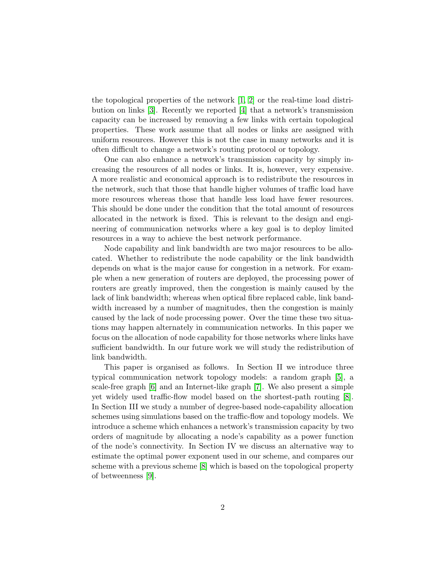the topological properties of the network [\[1,](#page-7-0) [2\]](#page-7-1) or the real-time load distribution on links [\[3\]](#page-7-2). Recently we reported [\[4\]](#page-7-3) that a network's transmission capacity can be increased by removing a few links with certain topological properties. These work assume that all nodes or links are assigned with uniform resources. However this is not the case in many networks and it is often difficult to change a network's routing protocol or topology.

One can also enhance a network's transmission capacity by simply increasing the resources of all nodes or links. It is, however, very expensive. A more realistic and economical approach is to redistribute the resources in the network, such that those that handle higher volumes of traffic load have more resources whereas those that handle less load have fewer resources. This should be done under the condition that the total amount of resources allocated in the network is fixed. This is relevant to the design and engineering of communication networks where a key goal is to deploy limited resources in a way to achieve the best network performance.

Node capability and link bandwidth are two major resources to be allocated. Whether to redistribute the node capability or the link bandwidth depends on what is the major cause for congestion in a network. For example when a new generation of routers are deployed, the processing power of routers are greatly improved, then the congestion is mainly caused by the lack of link bandwidth; whereas when optical fibre replaced cable, link bandwidth increased by a number of magnitudes, then the congestion is mainly caused by the lack of node processing power. Over the time these two situations may happen alternately in communication networks. In this paper we focus on the allocation of node capability for those networks where links have sufficient bandwidth. In our future work we will study the redistribution of link bandwidth.

This paper is organised as follows. In Section II we introduce three typical communication network topology models: a random graph [\[5\]](#page-7-4), a scale-free graph [\[6\]](#page-7-5) and an Internet-like graph [\[7\]](#page-7-6). We also present a simple yet widely used traffic-flow model based on the shortest-path routing [\[8\]](#page-7-7). In Section III we study a number of degree-based node-capability allocation schemes using simulations based on the traffic-flow and topology models. We introduce a scheme which enhances a network's transmission capacity by two orders of magnitude by allocating a node's capability as a power function of the node's connectivity. In Section IV we discuss an alternative way to estimate the optimal power exponent used in our scheme, and compares our scheme with a previous scheme [\[8\]](#page-7-7) which is based on the topological property of betweenness [\[9\]](#page-7-8).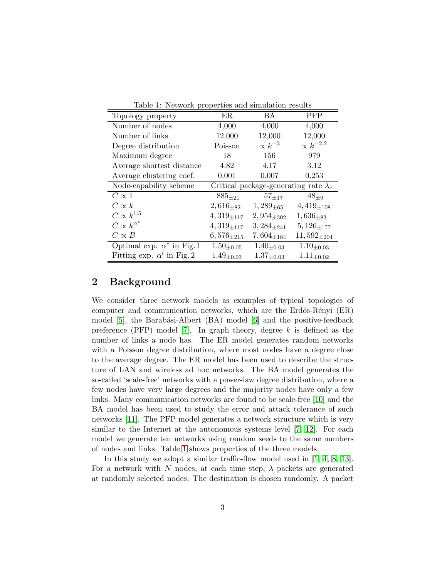| rapic 1. Thermorn properties and simulated results |                                              |                   |                    |
|----------------------------------------------------|----------------------------------------------|-------------------|--------------------|
| Topology property                                  | ER                                           | <b>BA</b>         | <b>PFP</b>         |
| Number of nodes                                    | 4,000                                        | 4,000             | 4,000              |
| Number of links                                    | 12,000                                       | 12,000            | 12,000             |
| Degree distribution                                | Poisson                                      | $\propto k^{-3}$  | $\propto k^{-2.2}$ |
| Maximum degree                                     | 18                                           | 156               | 979                |
| Average shortest distance                          | 4.82                                         | 4.17              | 3.12               |
| Average clustering coef.                           | 0.001                                        | 0.007             | 0.253              |
| Node-capability scheme                             | Critical package-generating rate $\lambda_c$ |                   |                    |
| $C \propto 1$                                      | $885_{\pm 21}$                               | $57_{\pm 17}$     | $48_{\pm 9}$       |
| $C \propto k$                                      | $2,616_{+82}$                                | $1,289_{+65}$     | $4,419_{+108}$     |
| $C \propto k^{1.5}$                                | $4,319_{\pm 117}$                            | $2,954_{\pm 302}$ | $1,636_{\pm 83}$   |
| $C\propto k^{\alpha^*}$                            | $4,319_{\pm 117}$                            | $3,284_{\pm 241}$ | $5,126_{\pm 177}$  |
| $C\propto B$                                       | $6,576_{\pm 215}$                            | $7,604_{\pm 184}$ | $11,592_{\pm 204}$ |
| Optimal exp. $\alpha^*$ in Fig. 1                  | $1.50_{\pm 0.05}$                            | $1.40_{\pm 0.03}$ | $1.10_{\pm 0.03}$  |
| Fitting exp. $\alpha'$ in Fig. 2                   | $1.49_{\pm0.03}$                             | $1.37_{\pm 0.03}$ | $1.11_{\pm 0.02}$  |

<span id="page-2-0"></span>Table 1: Network properties and simulation results

### 2 Background

We consider three network models as examples of typical topologies of computer and communication networks, which are the Erdös-Rényi  $(ER)$ model [\[5\]](#page-7-4), the Barabási-Albert (BA) model [\[6\]](#page-7-5) and the positive-feedback preference (PFP) model [\[7\]](#page-7-6). In graph theory, degree  $k$  is defined as the number of links a node has. The ER model generates random networks with a Poisson degree distribution, where most nodes have a degree close to the average degree. The ER model has been used to describe the structure of LAN and wireless ad hoc networks. The BA model generates the so-called 'scale-free' networks with a power-law degree distribution, where a few nodes have very large degrees and the majority nodes have only a few links. Many communication networks are found to be scale-free [\[10\]](#page-7-9) and the BA model has been used to study the error and attack tolerance of such networks [\[11\]](#page-8-0). The PFP model generates a network structure which is very similar to the Internet at the autonomous systems level [\[7,](#page-7-6) [12\]](#page-8-1). For each model we generate ten networks using random seeds to the same numbers of nodes and links. Table [1](#page-2-0) shows properties of the three models.

In this study we adopt a similar traffic-flow model used in [\[1,](#page-7-0) [4,](#page-7-3) [8,](#page-7-7) [13\]](#page-8-2). For a network with N nodes, at each time step,  $\lambda$  packets are generated at randomly selected nodes. The destination is chosen randomly. A packet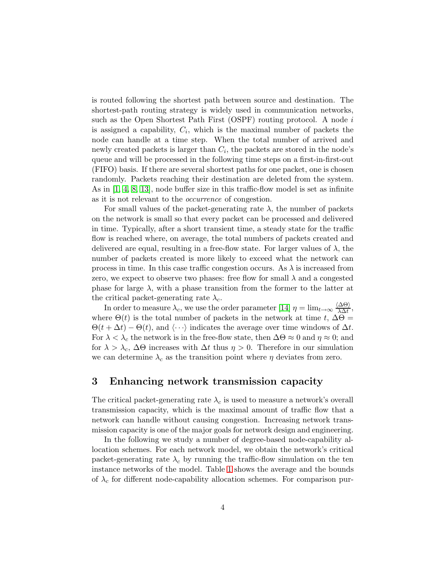is routed following the shortest path between source and destination. The shortest-path routing strategy is widely used in communication networks, such as the Open Shortest Path First (OSPF) routing protocol. A node i is assigned a capability,  $C_i$ , which is the maximal number of packets the node can handle at a time step. When the total number of arrived and newly created packets is larger than  $C_i$ , the packets are stored in the node's queue and will be processed in the following time steps on a first-in-first-out (FIFO) basis. If there are several shortest paths for one packet, one is chosen randomly. Packets reaching their destination are deleted from the system. As in [\[1,](#page-7-0) [4,](#page-7-3) [8,](#page-7-7) [13\]](#page-8-2), node buffer size in this traffic-flow model is set as infinite as it is not relevant to the occurrence of congestion.

For small values of the packet-generating rate  $\lambda$ , the number of packets on the network is small so that every packet can be processed and delivered in time. Typically, after a short transient time, a steady state for the traffic flow is reached where, on average, the total numbers of packets created and delivered are equal, resulting in a free-flow state. For larger values of  $\lambda$ , the number of packets created is more likely to exceed what the network can process in time. In this case traffic congestion occurs. As  $\lambda$  is increased from zero, we expect to observe two phases: free flow for small  $\lambda$  and a congested phase for large  $\lambda$ , with a phase transition from the former to the latter at the critical packet-generating rate  $\lambda_c$ .

In order to measure  $\lambda_c$ , we use the order parameter [\[14\]](#page-8-3)  $\eta = \lim_{t \to \infty} \frac{\langle \Delta \Theta \rangle}{\lambda \Delta t}$ , where  $\Theta(t)$  is the total number of packets in the network at time t,  $\Delta\Theta =$  $\Theta(t + \Delta t) - \Theta(t)$ , and  $\langle \cdots \rangle$  indicates the average over time windows of  $\Delta t$ . For  $\lambda < \lambda_c$  the network is in the free-flow state, then  $\Delta\Theta \approx 0$  and  $\eta \approx 0$ ; and for  $\lambda > \lambda_c$ ,  $\Delta\Theta$  increases with  $\Delta t$  thus  $\eta > 0$ . Therefore in our simulation we can determine  $\lambda_c$  as the transition point where  $\eta$  deviates from zero.

#### 3 Enhancing network transmission capacity

The critical packet-generating rate  $\lambda_c$  is used to measure a network's overall transmission capacity, which is the maximal amount of traffic flow that a network can handle without causing congestion. Increasing network transmission capacity is one of the major goals for network design and engineering.

In the following we study a number of degree-based node-capability allocation schemes. For each network model, we obtain the network's critical packet-generating rate  $\lambda_c$  by running the traffic-flow simulation on the ten instance networks of the model. Table [1](#page-2-0) shows the average and the bounds of  $\lambda_c$  for different node-capability allocation schemes. For comparison pur-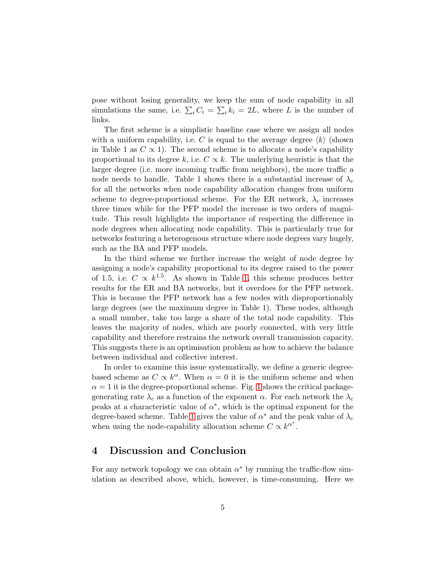pose without losing generality, we keep the sum of node capability in all simulations the same, i.e.  $\sum_i C_i = \sum_i k_i = 2L$ , where L is the number of links.

The first scheme is a simplistic baseline case where we assign all nodes with a uniform capability, i.e. C is equal to the average degree  $\langle k \rangle$  (shown in Table 1 as  $C \propto 1$ ). The second scheme is to allocate a node's capability proportional to its degree k, i.e.  $C \propto k$ . The underlying heuristic is that the larger degree (i.e. more incoming traffic from neighbors), the more traffic a node needs to handle. Table 1 shows there is a substantial increase of  $\lambda_c$ for all the networks when node capability allocation changes from uniform scheme to degree-proportional scheme. For the ER network,  $\lambda_c$  increases three times while for the PFP model the increase is two orders of magnitude. This result highlights the importance of respecting the difference in node degrees when allocating node capability. This is particularly true for networks featuring a heterogenous structure where node degrees vary hugely, such as the BA and PFP models.

In the third scheme we further increase the weight of node degree by assigning a node's capability proportional to its degree raised to the power of 1.5, i.e.  $C \propto k^{1.5}$ . As shown in Table [1,](#page-2-0) this scheme produces better results for the ER and BA networks, but it overdoes for the PFP network. This is because the PFP network has a few nodes with disproportionably large degrees (see the maximum degree in Table 1). These nodes, although a small number, take too large a share of the total node capability. This leaves the majority of nodes, which are poorly connected, with very little capability and therefore restrains the network overall transmission capacity. This suggests there is an optimisation problem as how to achieve the balance between individual and collective interest.

In order to examine this issue systematically, we define a generic degreebased scheme as  $C \propto k^{\alpha}$ . When  $\alpha = 0$  it is the uniform scheme and when  $\alpha = 1$  $\alpha = 1$  it is the degree-proportional scheme. Fig. 1 shows the critical packagegenerating rate  $\lambda_c$  as a function of the exponent  $\alpha$ . For each network the  $\lambda_c$ peaks at a characteristic value of  $\alpha^*$ , which is the optimal exponent for the degree-based scheme. Table [1](#page-2-0) gives the value of  $\alpha^*$  and the peak value of  $\lambda_c$ when using the node-capability allocation scheme  $C \propto k^{\alpha^*}$ .

#### 4 Discussion and Conclusion

For any network topology we can obtain  $\alpha^*$  by running the traffic-flow simulation as described above, which, however, is time-consuming. Here we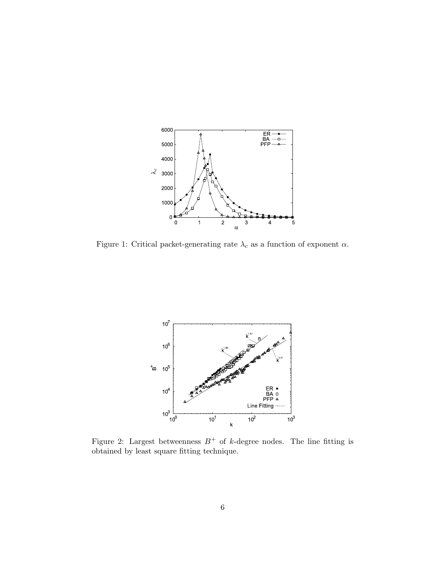

<span id="page-5-0"></span>Figure 1: Critical packet-generating rate  $\lambda_c$  as a function of exponent  $\alpha.$ 



<span id="page-5-1"></span>Figure 2: Largest betweenness  $B^+$  of k-degree nodes. The line fitting is obtained by least square fitting technique.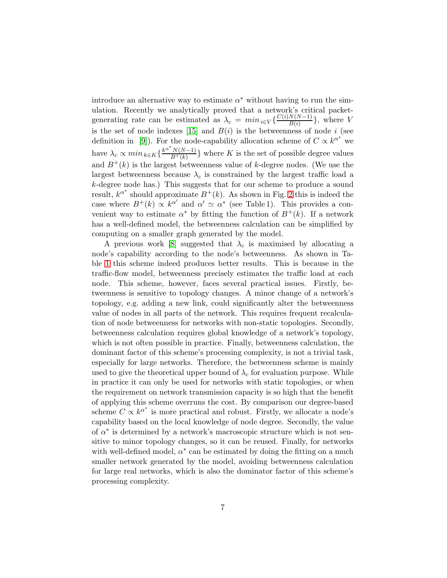introduce an alternative way to estimate  $\alpha^*$  without having to run the simulation. Recently we analytically proved that a network's critical packetgenerating rate can be estimated as  $\lambda_c = min_{i \in V} \{ \frac{C(i)N(N-1)}{B(i)} \}$  $\frac{N(N-1)}{B(i)}\},\$  where V is the set of node indexes [\[15\]](#page-8-4) and  $B(i)$  is the betweenness of node i (see definition in [\[9\]](#page-7-8)). For the node-capability allocation scheme of  $C \propto k^{\alpha^*}$  we have  $\lambda_c \propto min_{k \in K} \left\{ \frac{k^{\alpha^*} N(N-1)}{B^+(k)} \right\}$  $\frac{N(N-1)}{B^+(k)}$  where K is the set of possible degree values and  $B^+(k)$  is the largest betweenness value of k-degree nodes. (We use the largest betweenness because  $\lambda_c$  is constrained by the largest traffic load a k-degree node has.) This suggests that for our scheme to produce a sound result,  $k^{\alpha^*}$  should approximate  $B^+(k)$ . As shown in Fig. [2](#page-5-1) this is indeed the case where  $B^+(k) \propto k^{\alpha'}$  and  $\alpha' \simeq \alpha^*$  (see Table 1). This provides a convenient way to estimate  $\alpha^*$  by fitting the function of  $B^+(k)$ . If a network has a well-defined model, the betweenness calculation can be simplified by computing on a smaller graph generated by the model.

A previous work [\[8\]](#page-7-7) suggested that  $\lambda_c$  is maximised by allocating a node's capability according to the node's betweenness. As shown in Table [1](#page-2-0) this scheme indeed produces better results. This is because in the traffic-flow model, betweenness precisely estimates the traffic load at each node. This scheme, however, faces several practical issues. Firstly, betweenness is sensitive to topology changes. A minor change of a network's topology, e.g. adding a new link, could significantly alter the betweenness value of nodes in all parts of the network. This requires frequent recalculation of node betweenness for networks with non-static topologies. Secondly, betweenness calculation requires global knowledge of a network's topology, which is not often possible in practice. Finally, betweenness calculation, the dominant factor of this scheme's processing complexity, is not a trivial task, especially for large networks. Therefore, the betweenness scheme is mainly used to give the theoretical upper bound of  $\lambda_c$  for evaluation purpose. While in practice it can only be used for networks with static topologies, or when the requirement on network transmission capacity is so high that the benefit of applying this scheme overruns the cost. By comparison our degree-based scheme  $C \propto k^{\alpha^*}$  is more practical and robust. Firstly, we allocate a node's capability based on the local knowledge of node degree. Secondly, the value of  $\alpha^*$  is determined by a network's macroscopic structure which is not sensitive to minor topology changes, so it can be reused. Finally, for networks with well-defined model,  $\alpha^*$  can be estimated by doing the fitting on a much smaller network generated by the model, avoiding betweenness calculation for large real networks, which is also the dominator factor of this scheme's processing complexity.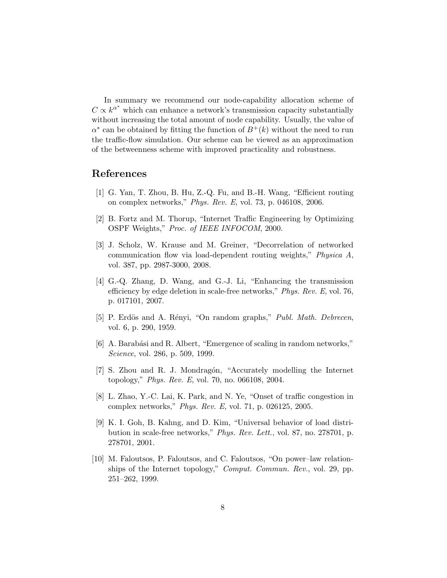In summary we recommend our node-capability allocation scheme of  $C \propto k^{\alpha^*}$  which can enhance a network's transmission capacity substantially without increasing the total amount of node capability. Usually, the value of  $\alpha^*$  can be obtained by fitting the function of  $B^+(k)$  without the need to run the traffic-flow simulation. Our scheme can be viewed as an approximation of the betweenness scheme with improved practicality and robustness.

### <span id="page-7-0"></span>References

- <span id="page-7-1"></span>[1] G. Yan, T. Zhou, B. Hu, Z.-Q. Fu, and B.-H. Wang, "Efficient routing on complex networks," Phys. Rev. E, vol. 73, p. 046108, 2006.
- [2] B. Fortz and M. Thorup, "Internet Traffic Engineering by Optimizing OSPF Weights," Proc. of IEEE INFOCOM, 2000.
- <span id="page-7-2"></span>[3] J. Scholz, W. Krause and M. Greiner, "Decorrelation of networked communication flow via load-dependent routing weights," Physica A, vol. 387, pp. 2987-3000, 2008.
- <span id="page-7-3"></span>[4] G.-Q. Zhang, D. Wang, and G.-J. Li, "Enhancing the transmission efficiency by edge deletion in scale-free networks," Phys. Rev. E, vol. 76, p. 017101, 2007.
- <span id="page-7-5"></span><span id="page-7-4"></span>[5] P. Erdös and A. Rényi, "On random graphs," *Publ. Math. Debrecen*, vol. 6, p. 290, 1959.
- <span id="page-7-6"></span>[6] A. Barabási and R. Albert, "Emergence of scaling in random networks," Science, vol. 286, p. 509, 1999.
- [7] S. Zhou and R. J. Mondragón, "Accurately modelling the Internet topology," Phys. Rev. E, vol. 70, no. 066108, 2004.
- <span id="page-7-7"></span>[8] L. Zhao, Y.-C. Lai, K. Park, and N. Ye, "Onset of traffic congestion in complex networks," Phys. Rev. E, vol. 71, p. 026125, 2005.
- <span id="page-7-8"></span>[9] K. I. Goh, B. Kahng, and D. Kim, "Universal behavior of load distribution in scale-free networks," Phys. Rev. Lett., vol. 87, no. 278701, p. 278701, 2001.
- <span id="page-7-9"></span>[10] M. Faloutsos, P. Faloutsos, and C. Faloutsos, "On power–law relationships of the Internet topology," Comput. Commun. Rev., vol. 29, pp. 251–262, 1999.